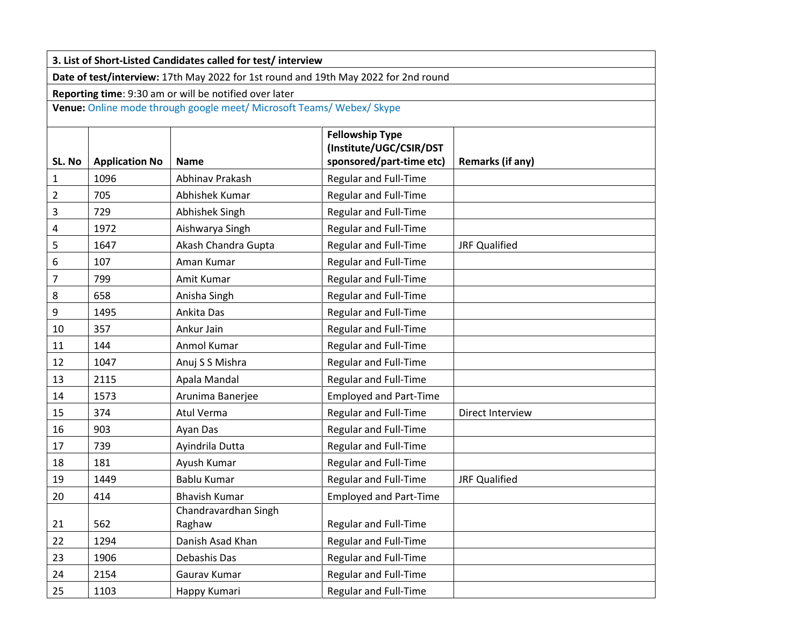| 3. List of Short-Listed Candidates called for test/interview                                                                    |      |                                |                               |                      |  |  |  |  |
|---------------------------------------------------------------------------------------------------------------------------------|------|--------------------------------|-------------------------------|----------------------|--|--|--|--|
| Date of test/interview: 17th May 2022 for 1st round and 19th May 2022 for 2nd round                                             |      |                                |                               |                      |  |  |  |  |
| Reporting time: 9:30 am or will be notified over later<br>Venue: Online mode through google meet/ Microsoft Teams/ Webex/ Skype |      |                                |                               |                      |  |  |  |  |
|                                                                                                                                 |      |                                |                               |                      |  |  |  |  |
| 1                                                                                                                               | 1096 | Abhinav Prakash                | <b>Regular and Full-Time</b>  |                      |  |  |  |  |
| $\overline{2}$                                                                                                                  | 705  | Abhishek Kumar                 | Regular and Full-Time         |                      |  |  |  |  |
| 3                                                                                                                               | 729  | Abhishek Singh                 | Regular and Full-Time         |                      |  |  |  |  |
| 4                                                                                                                               | 1972 | Aishwarya Singh                | Regular and Full-Time         |                      |  |  |  |  |
| 5                                                                                                                               | 1647 | Akash Chandra Gupta            | <b>Regular and Full-Time</b>  | <b>JRF Qualified</b> |  |  |  |  |
| 6                                                                                                                               | 107  | Aman Kumar                     | <b>Regular and Full-Time</b>  |                      |  |  |  |  |
| 7                                                                                                                               | 799  | Amit Kumar                     | <b>Regular and Full-Time</b>  |                      |  |  |  |  |
| 8                                                                                                                               | 658  | Anisha Singh                   | <b>Regular and Full-Time</b>  |                      |  |  |  |  |
| 9                                                                                                                               | 1495 | Ankita Das                     | Regular and Full-Time         |                      |  |  |  |  |
| 10                                                                                                                              | 357  | Ankur Jain                     | <b>Regular and Full-Time</b>  |                      |  |  |  |  |
| 11                                                                                                                              | 144  | Anmol Kumar                    | <b>Regular and Full-Time</b>  |                      |  |  |  |  |
| 12                                                                                                                              | 1047 | Anuj S S Mishra                | Regular and Full-Time         |                      |  |  |  |  |
| 13                                                                                                                              | 2115 | Apala Mandal                   | Regular and Full-Time         |                      |  |  |  |  |
| 14                                                                                                                              | 1573 | Arunima Banerjee               | <b>Employed and Part-Time</b> |                      |  |  |  |  |
| 15                                                                                                                              | 374  | Atul Verma                     | Regular and Full-Time         | Direct Interview     |  |  |  |  |
| 16                                                                                                                              | 903  | Ayan Das                       | Regular and Full-Time         |                      |  |  |  |  |
| 17                                                                                                                              | 739  | Ayindrila Dutta                | Regular and Full-Time         |                      |  |  |  |  |
| 18                                                                                                                              | 181  | Ayush Kumar                    | Regular and Full-Time         |                      |  |  |  |  |
| 19                                                                                                                              | 1449 | Bablu Kumar                    | <b>Regular and Full-Time</b>  | <b>JRF Qualified</b> |  |  |  |  |
| 20                                                                                                                              | 414  | <b>Bhavish Kumar</b>           | <b>Employed and Part-Time</b> |                      |  |  |  |  |
| 21                                                                                                                              | 562  | Chandravardhan Singh<br>Raghaw | <b>Regular and Full-Time</b>  |                      |  |  |  |  |
| 22                                                                                                                              | 1294 | Danish Asad Khan               | <b>Regular and Full-Time</b>  |                      |  |  |  |  |
| 23                                                                                                                              | 1906 | Debashis Das                   | Regular and Full-Time         |                      |  |  |  |  |
| 24                                                                                                                              | 2154 | Gaurav Kumar                   | <b>Regular and Full-Time</b>  |                      |  |  |  |  |
| 25                                                                                                                              | 1103 | Happy Kumari                   | Regular and Full-Time         |                      |  |  |  |  |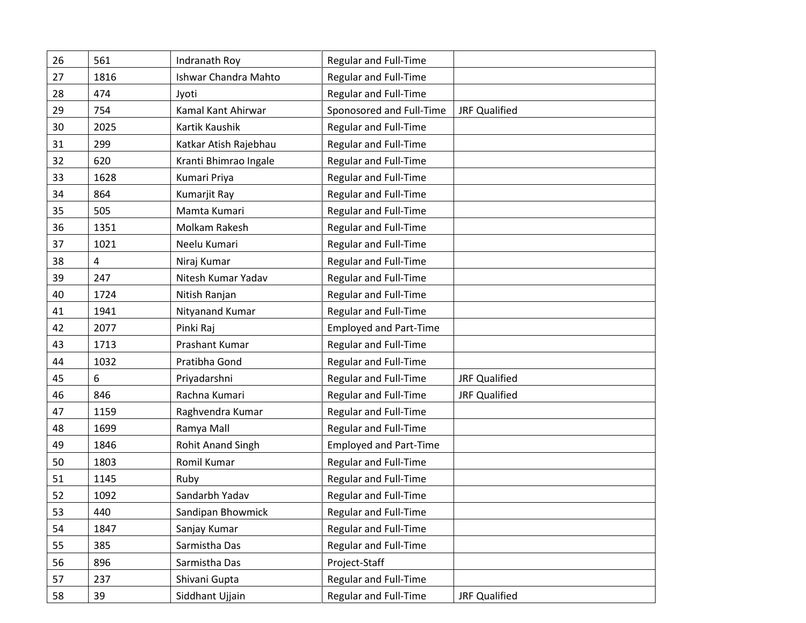| 26 | 561  | Indranath Roy               | Regular and Full-Time         |                      |
|----|------|-----------------------------|-------------------------------|----------------------|
| 27 | 1816 | <b>Ishwar Chandra Mahto</b> | <b>Regular and Full-Time</b>  |                      |
| 28 | 474  | Jyoti                       | <b>Regular and Full-Time</b>  |                      |
| 29 | 754  | Kamal Kant Ahirwar          | Sponosored and Full-Time      | <b>JRF Qualified</b> |
| 30 | 2025 | Kartik Kaushik              | <b>Regular and Full-Time</b>  |                      |
| 31 | 299  | Katkar Atish Rajebhau       | Regular and Full-Time         |                      |
| 32 | 620  | Kranti Bhimrao Ingale       | <b>Regular and Full-Time</b>  |                      |
| 33 | 1628 | Kumari Priya                | <b>Regular and Full-Time</b>  |                      |
| 34 | 864  | Kumarjit Ray                | Regular and Full-Time         |                      |
| 35 | 505  | Mamta Kumari                | <b>Regular and Full-Time</b>  |                      |
| 36 | 1351 | Molkam Rakesh               | <b>Regular and Full-Time</b>  |                      |
| 37 | 1021 | Neelu Kumari                | <b>Regular and Full-Time</b>  |                      |
| 38 | 4    | Niraj Kumar                 | Regular and Full-Time         |                      |
| 39 | 247  | Nitesh Kumar Yadav          | <b>Regular and Full-Time</b>  |                      |
| 40 | 1724 | Nitish Ranjan               | <b>Regular and Full-Time</b>  |                      |
| 41 | 1941 | Nityanand Kumar             | <b>Regular and Full-Time</b>  |                      |
| 42 | 2077 | Pinki Raj                   | <b>Employed and Part-Time</b> |                      |
| 43 | 1713 | Prashant Kumar              | <b>Regular and Full-Time</b>  |                      |
| 44 | 1032 | Pratibha Gond               | <b>Regular and Full-Time</b>  |                      |
| 45 | 6    | Priyadarshni                | <b>Regular and Full-Time</b>  | <b>JRF Qualified</b> |
| 46 | 846  | Rachna Kumari               | <b>Regular and Full-Time</b>  | <b>JRF Qualified</b> |
| 47 | 1159 | Raghvendra Kumar            | Regular and Full-Time         |                      |
| 48 | 1699 | Ramya Mall                  | <b>Regular and Full-Time</b>  |                      |
| 49 | 1846 | <b>Rohit Anand Singh</b>    | <b>Employed and Part-Time</b> |                      |
| 50 | 1803 | Romil Kumar                 | Regular and Full-Time         |                      |
| 51 | 1145 | Ruby                        | <b>Regular and Full-Time</b>  |                      |
| 52 | 1092 | Sandarbh Yadav              | Regular and Full-Time         |                      |
| 53 | 440  | Sandipan Bhowmick           | Regular and Full-Time         |                      |
| 54 | 1847 | Sanjay Kumar                | Regular and Full-Time         |                      |
| 55 | 385  | Sarmistha Das               | Regular and Full-Time         |                      |
| 56 | 896  | Sarmistha Das               | Project-Staff                 |                      |
| 57 | 237  | Shivani Gupta               | <b>Regular and Full-Time</b>  |                      |
| 58 | 39   | Siddhant Ujjain             | Regular and Full-Time         | <b>JRF Qualified</b> |